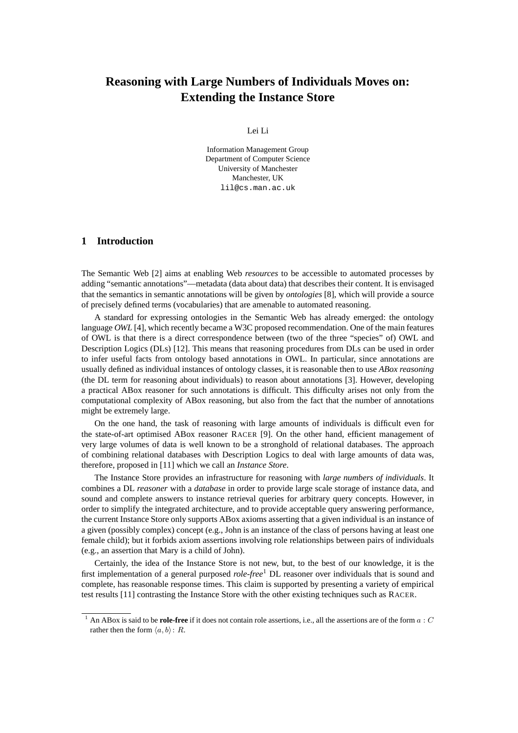# **Reasoning with Large Numbers of Individuals Moves on: Extending the Instance Store**

Lei Li

Information Management Group Department of Computer Science University of Manchester Manchester, UK lil@cs.man.ac.uk

# **1 Introduction**

The Semantic Web [2] aims at enabling Web *resources* to be accessible to automated processes by adding "semantic annotations"—metadata (data about data) that describes their content. It is envisaged that the semantics in semantic annotations will be given by *ontologies* [8], which will provide a source of precisely defined terms (vocabularies) that are amenable to automated reasoning.

A standard for expressing ontologies in the Semantic Web has already emerged: the ontology language *OWL* [4], which recently became a W3C proposed recommendation. One of the main features of OWL is that there is a direct correspondence between (two of the three "species" of) OWL and Description Logics (DLs) [12]. This means that reasoning procedures from DLs can be used in order to infer useful facts from ontology based annotations in OWL. In particular, since annotations are usually defined as individual instances of ontology classes, it is reasonable then to use *ABox reasoning* (the DL term for reasoning about individuals) to reason about annotations [3]. However, developing a practical ABox reasoner for such annotations is difficult. This difficulty arises not only from the computational complexity of ABox reasoning, but also from the fact that the number of annotations might be extremely large.

On the one hand, the task of reasoning with large amounts of individuals is difficult even for the state-of-art optimised ABox reasoner RACER [9]. On the other hand, efficient management of very large volumes of data is well known to be a stronghold of relational databases. The approach of combining relational databases with Description Logics to deal with large amounts of data was, therefore, proposed in [11] which we call an *Instance Store*.

The Instance Store provides an infrastructure for reasoning with *large numbers of individuals*. It combines a DL *reasoner* with a *database* in order to provide large scale storage of instance data, and sound and complete answers to instance retrieval queries for arbitrary query concepts. However, in order to simplify the integrated architecture, and to provide acceptable query answering performance, the current Instance Store only supports ABox axioms asserting that a given individual is an instance of a given (possibly complex) concept (e.g., John is an instance of the class of persons having at least one female child); but it forbids axiom assertions involving role relationships between pairs of individuals (e.g., an assertion that Mary is a child of John).

Certainly, the idea of the Instance Store is not new, but, to the best of our knowledge, it is the first implementation of a general purposed *role-free*<sup>1</sup> DL reasoner over individuals that is sound and complete, has reasonable response times. This claim is supported by presenting a variety of empirical test results [11] contrasting the Instance Store with the other existing techniques such as RACER.

<sup>&</sup>lt;sup>1</sup> An ABox is said to be **role-free** if it does not contain role assertions, i.e., all the assertions are of the form  $a : C$ rather then the form  $\langle a, b \rangle : R$ .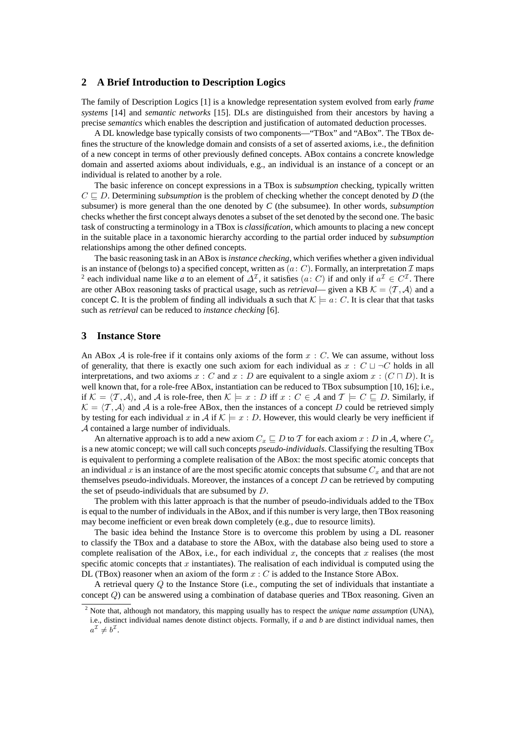## **2 A Brief Introduction to Description Logics**

The family of Description Logics [1] is a knowledge representation system evolved from early *frame systems* [14] and *semantic networks* [15]. DLs are distinguished from their ancestors by having a precise *semantics* which enables the description and justification of automated deduction processes.

A DL knowledge base typically consists of two components—"TBox" and "ABox". The TBox defines the structure of the knowledge domain and consists of a set of asserted axioms, i.e., the definition of a new concept in terms of other previously defined concepts. ABox contains a concrete knowledge domain and asserted axioms about individuals, e.g., an individual is an instance of a concept or an individual is related to another by a role.

The basic inference on concept expressions in a TBox is *subsumption* checking, typically written  $C \sqsubset D$ . Determining *subsumption* is the problem of checking whether the concept denoted by D (the subsumer) is more general than the one denoted by *C* (the subsumee). In other words, *subsumption* checks whether the first concept always denotes a subset of the set denoted by the second one. The basic task of constructing a terminology in a TBox is *classification*, which amounts to placing a new concept in the suitable place in a taxonomic hierarchy according to the partial order induced by *subsumption* relationships among the other defined concepts.

The basic reasoning task in an ABox is *instance checking*, which verifies whether a given individual is an instance of (belongs to) a specified concept, written as  $(a: C)$ . Formally, an interpretation  $\mathcal I$  maps <sup>2</sup> each individual name like *a* to an element of  $\Delta^{\mathcal{I}}$ , it satisfies  $(a: C)$  if and only if  $a^{\mathcal{I}} \in C^{\mathcal{I}}$ . There are other ABox reasoning tasks of practical usage, such as *retrieval*— given a KB  $K = \langle T, A \rangle$  and a concept C. It is the problem of finding all individuals a such that  $\mathcal{K} \models a: C$ . It is clear that that tasks such as *retrieval* can be reduced to *instance checking* [6].

## **3 Instance Store**

An ABox  $A$  is role-free if it contains only axioms of the form  $x : C$ . We can assume, without loss of generality, that there is exactly one such axiom for each individual as  $x : C \sqcup \neg C$  holds in all interpretations, and two axioms  $x : C$  and  $x : D$  are equivalent to a single axiom  $x : (C \sqcap D)$ . It is well known that, for a role-free ABox, instantiation can be reduced to TBox subsumption [10, 16]; i.e., if  $\mathcal{K} = \langle T, \mathcal{A} \rangle$ , and A is role-free, then  $\mathcal{K} \models x : D$  iff  $x : C \in \mathcal{A}$  and  $\mathcal{T} \models C \sqsubseteq D$ . Similarly, if  $\mathcal{K} = \langle T, \mathcal{A} \rangle$  and  $\mathcal{A}$  is a role-free ABox, then the instances of a concept D could be retrieved simply by testing for each individual x in A if  $\mathcal{K} \models x : D$ . However, this would clearly be very inefficient if A contained a large number of individuals.

An alternative approach is to add a new axiom  $C_x \sqsubseteq D$  to T for each axiom  $x : D$  in A, where  $C_x$ is a new atomic concept; we will call such concepts *pseudo-individuals*. Classifying the resulting TBox is equivalent to performing a complete realisation of the ABox: the most specific atomic concepts that an individual x is an instance of are the most specific atomic concepts that subsume  $C_x$  and that are not themselves pseudo-individuals. Moreover, the instances of a concept  $D$  can be retrieved by computing the set of pseudo-individuals that are subsumed by  $D$ .

The problem with this latter approach is that the number of pseudo-individuals added to the TBox is equal to the number of individuals in the ABox, and if this number is very large, then TBox reasoning may become inefficient or even break down completely (e.g., due to resource limits).

The basic idea behind the Instance Store is to overcome this problem by using a DL reasoner to classify the TBox and a database to store the ABox, with the database also being used to store a complete realisation of the ABox, i.e., for each individual x, the concepts that x realises (the most specific atomic concepts that x instantiates). The realisation of each individual is computed using the DL (TBox) reasoner when an axiom of the form  $x : C$  is added to the Instance Store ABox.

A retrieval query Q to the Instance Store (i.e., computing the set of individuals that instantiate a concept  $Q$ ) can be answered using a combination of database queries and TBox reasoning. Given an

<sup>2</sup> Note that, although not mandatory, this mapping usually has to respect the *unique name assumption* (UNA), i.e., distinct individual names denote distinct objects. Formally, if *a* and *b* are distinct individual names, then  $a^{\mathcal{I}} \neq b^{\mathcal{I}}.$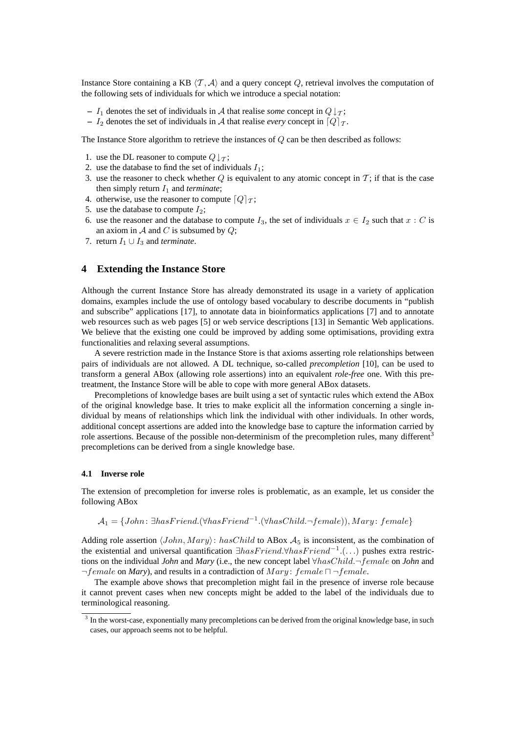Instance Store containing a KB  $\langle T, \mathcal{A} \rangle$  and a query concept Q, retrieval involves the computation of the following sets of individuals for which we introduce a special notation:

- **–**  $I_1$  denotes the set of individuals in A that realise *some* concept in  $Q \downarrow_T$ ;
- $-I_2$  denotes the set of individuals in A that realise *every* concept in  $\lceil Q \rceil$ .

The Instance Store algorithm to retrieve the instances of  $Q$  can be then described as follows:

- 1. use the DL reasoner to compute  $Q \downarrow_{\mathcal{T}}$ ;
- 2. use the database to find the set of individuals  $I_1$ ;
- 3. use the reasoner to check whether  $Q$  is equivalent to any atomic concept in  $T$ ; if that is the case then simply return  $I_1$  and *terminate*;
- 4. otherwise, use the reasoner to compute  $\lceil Q \rceil \tau$ ;
- 5. use the database to compute  $I_2$ ;
- 6. use the reasoner and the database to compute  $I_3$ , the set of individuals  $x \in I_2$  such that  $x : C$  is an axiom in A and C is subsumed by  $Q$ ;
- 7. return  $I_1 \cup I_3$  and *terminate*.

## **4 Extending the Instance Store**

Although the current Instance Store has already demonstrated its usage in a variety of application domains, examples include the use of ontology based vocabulary to describe documents in "publish and subscribe" applications [17], to annotate data in bioinformatics applications [7] and to annotate web resources such as web pages [5] or web service descriptions [13] in Semantic Web applications. We believe that the existing one could be improved by adding some optimisations, providing extra functionalities and relaxing several assumptions.

A severe restriction made in the Instance Store is that axioms asserting role relationships between pairs of individuals are not allowed. A DL technique, so-called *precompletion* [10], can be used to transform a general ABox (allowing role assertions) into an equivalent *role-free* one. With this pretreatment, the Instance Store will be able to cope with more general ABox datasets.

Precompletions of knowledge bases are built using a set of syntactic rules which extend the ABox of the original knowledge base. It tries to make explicit all the information concerning a single individual by means of relationships which link the individual with other individuals. In other words, additional concept assertions are added into the knowledge base to capture the information carried by role assertions. Because of the possible non-determinism of the precompletion rules, many different<sup>3</sup> precompletions can be derived from a single knowledge base.

#### **4.1 Inverse role**

The extension of precompletion for inverse roles is problematic, as an example, let us consider the following ABox

$$
\mathcal{A}_1 = \{John: \exists has Friend. (\forall has Friend^{-1}.(\forall hasChild. \neg female)), Mary: female\}
$$

Adding role assertion  $\langle John, Mary \rangle$ : hasChild to ABox  $A_5$  is inconsistent, as the combination of the existential and universal quantification  $\exists has Friend. \forall has Friend^{-1}.(...)$  pushes extra restrictions on the individual *John* and *Mary* (i.e., the new concept label ∀hasChild.¬female on *John* and  $\neg female$  on *Mary*), and results in a contradiction of *Mary*: female  $\Box \neg female$ .

The example above shows that precompletion might fail in the presence of inverse role because it cannot prevent cases when new concepts might be added to the label of the individuals due to terminological reasoning.

<sup>&</sup>lt;sup>3</sup> In the worst-case, exponentially many precompletions can be derived from the original knowledge base, in such cases, our approach seems not to be helpful.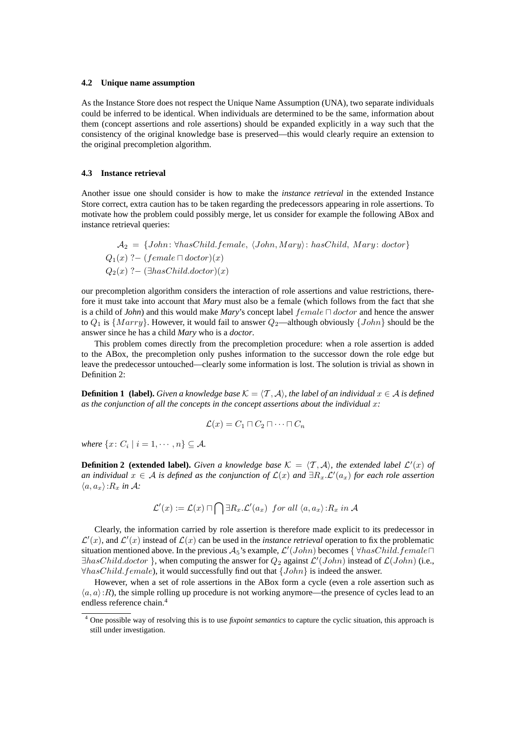#### **4.2 Unique name assumption**

As the Instance Store does not respect the Unique Name Assumption (UNA), two separate individuals could be inferred to be identical. When individuals are determined to be the same, information about them (concept assertions and role assertions) should be expanded explicitly in a way such that the consistency of the original knowledge base is preserved—this would clearly require an extension to the original precompletion algorithm.

### **4.3 Instance retrieval**

Another issue one should consider is how to make the *instance retrieval* in the extended Instance Store correct, extra caution has to be taken regarding the predecessors appearing in role assertions. To motivate how the problem could possibly merge, let us consider for example the following ABox and instance retrieval queries:

 $A_2 = \{John: \forall hasChild, female, \langle John, Mary \rangle: hasChild, Mary: doctor\}$  $Q_1(x)$  ?– (female  $\Box$  doctor)(x)  $Q_2(x)$  ?− ( $\exists$ hasChild.doctor)(x)

our precompletion algorithm considers the interaction of role assertions and value restrictions, therefore it must take into account that *Mary* must also be a female (which follows from the fact that she is a child of *John*) and this would make *Mary*'s concept label  $female \sqcap doctor$  and hence the answer to  $Q_1$  is  $\{Mary\}$ . However, it would fail to answer  $Q_2$ —although obviously  $\{John\}$  should be the answer since he has a child *Mary* who is a *doctor*.

This problem comes directly from the precompletion procedure: when a role assertion is added to the ABox, the precompletion only pushes information to the successor down the role edge but leave the predecessor untouched—clearly some information is lost. The solution is trivial as shown in Definition 2:

**Definition 1 (label).** Given a knowledge base  $K = \langle T, \mathcal{A} \rangle$ , the label of an individual  $x \in \mathcal{A}$  is defined *as the conjunction of all the concepts in the concept assertions about the individual* x*:*

$$
\mathcal{L}(x) = C_1 \sqcap C_2 \sqcap \cdots \sqcap C_n
$$

*where*  $\{x \colon C_i \mid i = 1, \dots, n\} \subseteq A$ .

**Definition 2 (extended label).** Given a knowledge base  $K = \langle T, \mathcal{A} \rangle$ , the extended label  $\mathcal{L}'(x)$  of  $a$ *n individual*  $x \in A$  *is defined as the conjunction of*  $\mathcal{L}(x)$  *and*  $\exists R_x \hat{L}'(a_x)$  *for each role assertion*  $\langle a, a_x \rangle$ : $R_x$  *in* A:

$$
\mathcal{L}'(x):=\mathcal{L}(x)\sqcap\bigcap\exists R_x.\mathcal{L}'(a_x)\ \ for\ all\ \langle a,a_x\rangle\!:\!R_x\ in\ \mathcal{A}
$$

Clearly, the information carried by role assertion is therefore made explicit to its predecessor in  $\mathcal{L}'(x)$ , and  $\mathcal{L}'(x)$  instead of  $\mathcal{L}(x)$  can be used in the *instance retrieval* operation to fix the problematic situation mentioned above. In the previous  $A_5$ 's example,  $\mathcal{L}'(John)$  becomes  $\{\forall hasChild.Female\Box\}$  $\exists hasChild.doctor$  }, when computing the answer for  $Q_2$  against  $\mathcal{L}'(John)$  instead of  $\mathcal{L}(John)$  (i.e.,  $\forall hasChild.female$ ), it would successfully find out that  $\{John\}$  is indeed the answer.

However, when a set of role assertions in the ABox form a cycle (even a role assertion such as  $\langle a, a \rangle:R$ ), the simple rolling up procedure is not working anymore—the presence of cycles lead to an endless reference chain.<sup>4</sup>

<sup>4</sup> One possible way of resolving this is to use *fixpoint semantics* to capture the cyclic situation, this approach is still under investigation.